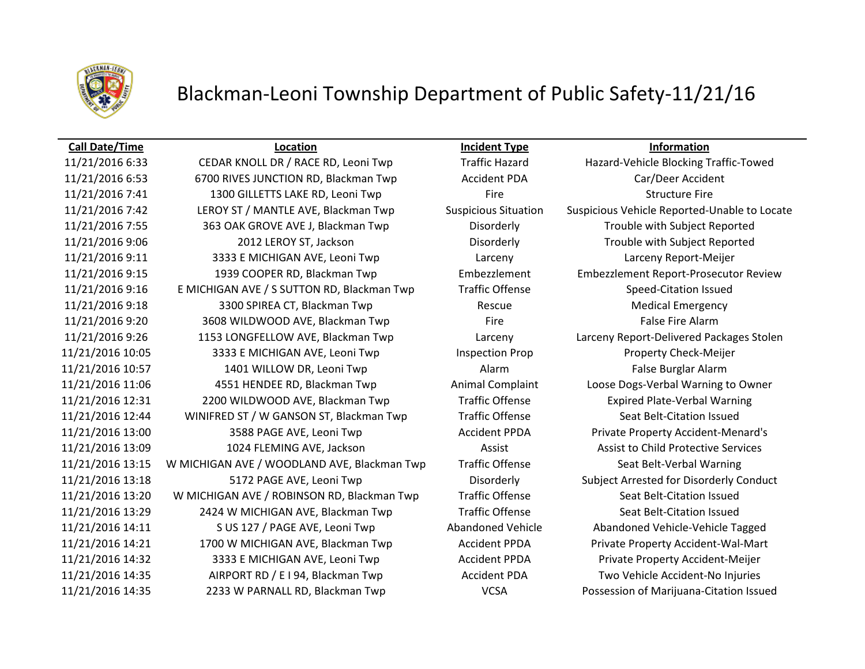

# Blackman-Leoni Township Department of Public Safety-11/21/16

### **Call Date/Time Location Incident Type Information**

11/21/2016 6:53 6700 RIVES JUNCTION RD, Blackman Twp Accident PDA Car/Deer Accident 11/21/2016 7:41 1300 GILLETTS LAKE RD, Leoni Twp Fire Fire Structure Fire Structure Fire 11/21/2016 7:42 LEROY ST / MANTLE AVE, Blackman Twp Suspicious Situation Suspicious Vehicle Reported-Unable to Locate 11/21/2016 7:55 363 OAK GROVE AVE J, Blackman Twp Disorderly Trouble with Subject Reported 11/21/2016 9:06 2012 LEROY ST, Jackson Disorderly Trouble with Subject Reported 11/21/2016 9:11 3333 E MICHIGAN AVE, Leoni Twp Larceny Larceny Report-Meijer 11/21/2016 9:15 1939 COOPER RD, Blackman Twp Embezzlement Embezzlement Report-Prosecutor Review 11/21/2016 9:16 E MICHIGAN AVE / S SUTTON RD, Blackman Twp Traffic Offense Speed-Citation Issued 11/21/2016 9:18 3300 SPIREA CT, Blackman Twp Rescue Rescue Medical Emergency 11/21/2016 9:20 3608 WILDWOOD AVE, Blackman Twp Fire Fire Fire False Fire Alarm 11/21/2016 9:26 1153 LONGFELLOW AVE, Blackman Twp Larceny Larceny Report-Delivered Packages Stolen 11/21/2016 10:05 3333 E MICHIGAN AVE, Leoni Twp Inspection Prop Property Check-Meijer 11/21/2016 10:57 1401 WILLOW DR, Leoni Twp Alarm Alarm False Burglar Alarm 11/21/2016 11:06 4551 HENDEE RD, Blackman Twp Animal Complaint Loose Dogs-Verbal Warning to Owner 11/21/2016 12:31 2200 WILDWOOD AVE, Blackman Twp Traffic Offense Expired Plate-Verbal Warning 11/21/2016 12:44 WINIFRED ST / W GANSON ST, Blackman Twp Traffic Offense Seat Belt-Citation Issued 11/21/2016 13:00 3588 PAGE AVE, Leoni Twp Accident PPDA Private Property Accident-Menard's 11/21/2016 13:09 1024 FLEMING AVE, Jackson Assist Assist Assist to Child Protective Services 11/21/2016 13:15 W MICHIGAN AVE / WOODLAND AVE, Blackman Twp Traffic Offense Seat Belt-Verbal Warning 11/21/2016 13:18 5172 PAGE AVE, Leoni Twp Disorderly Subject Arrested for Disorderly Conduct 11/21/2016 13:20 W MICHIGAN AVE / ROBINSON RD, Blackman Twp Traffic Offense Seat Belt-Citation Issued 11/21/2016 13:29 2424 W MICHIGAN AVE, Blackman Twp Traffic Offense Seat Belt-Citation Issued 11/21/2016 14:11 S US 127 / PAGE AVE, Leoni Twp Abandoned Vehicle Abandoned Vehicle-Vehicle Tagged 11/21/2016 14:21 1700 W MICHIGAN AVE, Blackman Twp Accident PPDA Private Property Accident-Wal-Mart 11/21/2016 14:32 3333 E MICHIGAN AVE, Leoni Twp Accident PPDA Private Property Accident-Meijer 11/21/2016 14:35 AIRPORT RD / E I 94, Blackman Twp Accident PDA Two Vehicle Accident-No Injuries 11/21/2016 14:35 2233 W PARNALL RD, Blackman Twp VCSA Possession of Marijuana-Citation Issued

11/21/2016 6:33 CEDAR KNOLL DR / RACE RD, Leoni Twp Traffic Hazard Hazard-Vehicle Blocking Traffic-Towed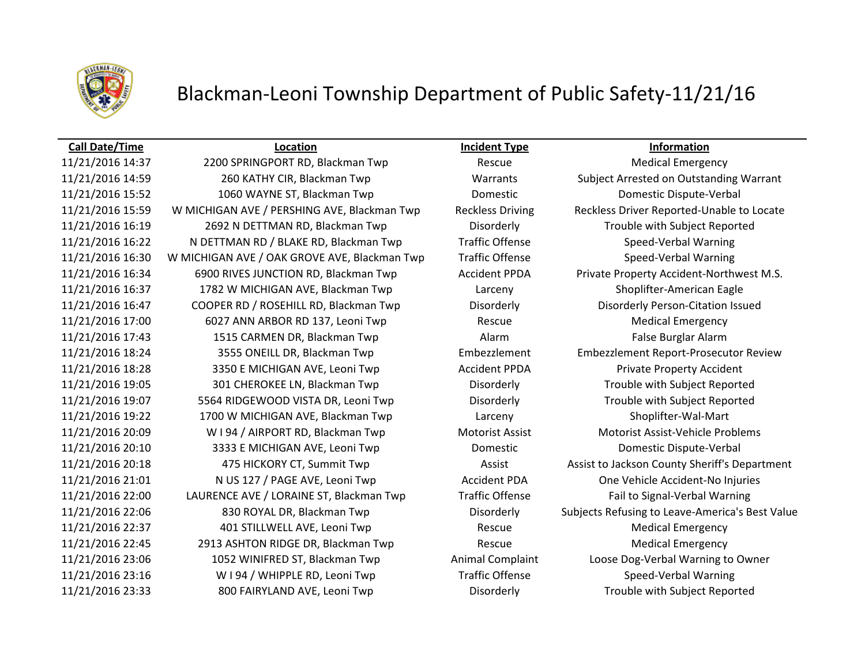

# Blackman-Leoni Township Department of Public Safety-11/21/16

### **Call Date/Time Location Incident Type Information**

11/21/2016 14:37 2200 SPRINGPORT RD, Blackman Twp Rescue Medical Emergency 11/21/2016 14:59 260 KATHY CIR, Blackman Twp Warrants Subject Arrested on Outstanding Warrant 11/21/2016 15:52 1060 WAYNE ST, Blackman Twp Domestic Domestic Dispute-Verbal 11/21/2016 15:59 W MICHIGAN AVE / PERSHING AVE, Blackman Twp Reckless Driving Reckless Driver Reported-Unable to Locate 11/21/2016 16:19 2692 N DETTMAN RD, Blackman Twp Disorderly Trouble with Subject Reported 11/21/2016 16:22 N DETTMAN RD / BLAKE RD, Blackman Twp Traffic Offense Speed-Verbal Warning 11/21/2016 16:30 W MICHIGAN AVE / OAK GROVE AVE, Blackman Twp Traffic Offense Speed-Verbal Warning 11/21/2016 16:34 6900 RIVES JUNCTION RD, Blackman Twp Accident PPDA Private Property Accident-Northwest M.S. 11/21/2016 16:37 1782 W MICHIGAN AVE, Blackman Twp Larceny Shoplifter-American Eagle 11/21/2016 16:47 COOPER RD / ROSEHILL RD, Blackman Twp Disorderly Disorderly Person-Citation Issued 11/21/2016 17:00 6027 ANN ARBOR RD 137, Leoni Twp Rescue Medical Emergency 11/21/2016 17:43 1515 CARMEN DR, Blackman Twp Alarm False Burglar Alarm 11/21/2016 18:24 3555 ONEILL DR, Blackman Twp Embezzlement Embezzlement Report-Prosecutor Review 11/21/2016 18:28 3350 E MICHIGAN AVE, Leoni Twp Accident PPDA Private Property Accident 11/21/2016 19:05 301 CHEROKEE LN, Blackman Twp Disorderly Trouble with Subject Reported 11/21/2016 19:07 5564 RIDGEWOOD VISTA DR, Leoni Twp Disorderly Trouble with Subject Reported 11/21/2016 19:22 1700 W MICHIGAN AVE, Blackman Twp Larceny Shoplifter-Wal-Mart 11/21/2016 20:09 W I 94 / AIRPORT RD, Blackman Twp Motorist Assist Motorist Assist-Vehicle Problems 11/21/2016 20:10 3333 E MICHIGAN AVE, Leoni Twp Domestic Domestic Dispute-Verbal 11/21/2016 20:18 475 HICKORY CT, Summit Twp Assist Assist Assist to Jackson County Sheriff's Department 11/21/2016 21:01 N US 127 / PAGE AVE, Leoni Twp Accident PDA One Vehicle Accident-No Injuries 11/21/2016 22:00 LAURENCE AVE / LORAINE ST, Blackman Twp Traffic Offense Fail to Signal-Verbal Warning 11/21/2016 22:06 830 ROYAL DR, Blackman Twp Disorderly Subjects Refusing to Leave-America's Best Value 11/21/2016 22:37 401 STILLWELL AVE, Leoni Twp Rescue Rescue Medical Emergency 11/21/2016 22:45 2913 ASHTON RIDGE DR, Blackman Twp Rescue Medical Emergency 11/21/2016 23:06 1052 WINIFRED ST, Blackman Twp Animal Complaint Loose Dog-Verbal Warning to Owner 11/21/2016 23:16 W I 94 / WHIPPLE RD, Leoni Twp Traffic Offense Speed-Verbal Warning 11/21/2016 23:33 800 FAIRYLAND AVE, Leoni Twp Disorderly Trouble with Subject Reported